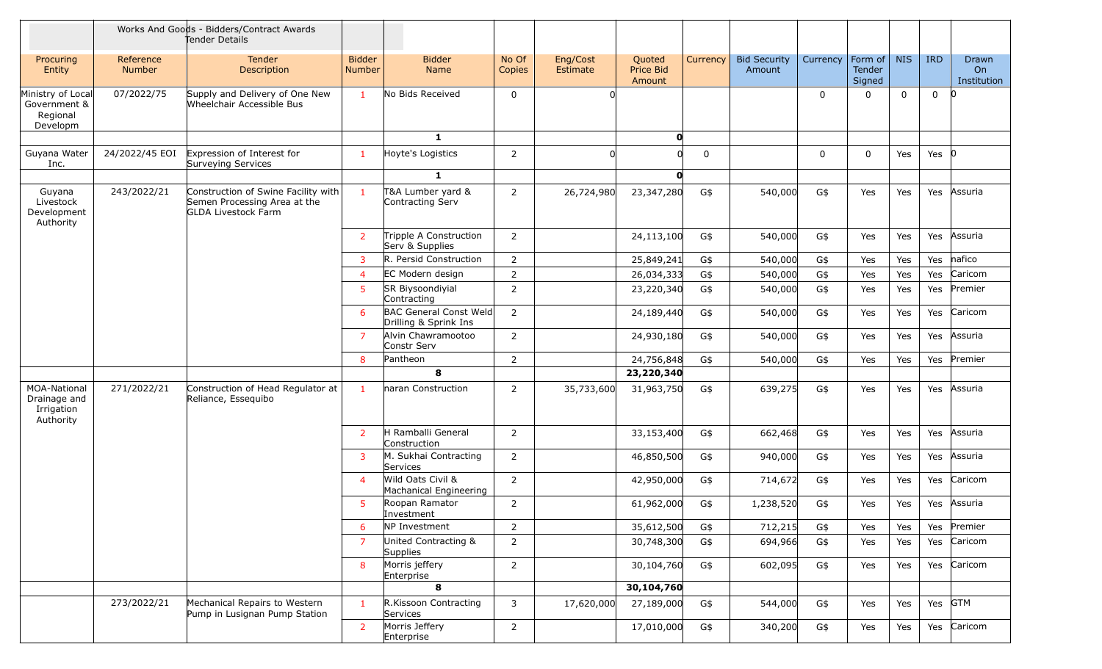|                                                           |                     | Works And Goods - Bidders/Contract Awards<br>Tender Details                                       |                         |                                                        |                 |                      |                                      |             |                               |          |                             |             |              |                                   |
|-----------------------------------------------------------|---------------------|---------------------------------------------------------------------------------------------------|-------------------------|--------------------------------------------------------|-----------------|----------------------|--------------------------------------|-------------|-------------------------------|----------|-----------------------------|-------------|--------------|-----------------------------------|
| Procuring<br>Entity                                       | Reference<br>Number | Tender<br>Description                                                                             | <b>Bidder</b><br>Number | <b>Bidder</b><br>Name                                  | No Of<br>Copies | Eng/Cost<br>Estimate | Quoted<br><b>Price Bid</b><br>Amount | Currency    | <b>Bid Security</b><br>Amount | Currency | Form of<br>Tender<br>Signed | <b>NIS</b>  | <b>IRD</b>   | <b>Drawn</b><br>On<br>Institution |
| Ministry of Local<br>Government &<br>Regional<br>Developm | 07/2022/75          | Supply and Delivery of One New<br>Wheelchair Accessible Bus                                       |                         | No Bids Received                                       | $\mathbf 0$     |                      |                                      |             |                               | 0        |                             | $\mathbf 0$ | $\mathbf{0}$ |                                   |
|                                                           |                     |                                                                                                   |                         | $\mathbf{1}$                                           |                 |                      | O                                    |             |                               |          |                             |             |              |                                   |
| Guyana Water<br>Inc.                                      | 24/2022/45 EOI      | Expression of Interest for<br>Surveying Services                                                  |                         | Hoyte's Logistics                                      | $\overline{2}$  |                      |                                      | $\mathbf 0$ |                               | 0        | $\mathbf 0$                 | Yes         | Yes $ 0 $    |                                   |
|                                                           |                     |                                                                                                   |                         | $\mathbf{1}$                                           |                 |                      | 0                                    |             |                               |          |                             |             |              |                                   |
| Guyana<br>Livestock<br>Development<br>Authority           | 243/2022/21         | Construction of Swine Facility with<br>Semen Processing Area at the<br><b>GLDA Livestock Farm</b> | $\mathbf{1}$            | T&A Lumber yard &<br>Contracting Serv                  | $\overline{2}$  | 26,724,980           | 23,347,280                           | G\$         | 540,000                       | G\$      | Yes                         | Yes         | Yes          | Assuria                           |
|                                                           |                     |                                                                                                   | $\overline{2}$          | Tripple A Construction<br>Serv & Supplies              | $\overline{2}$  |                      | 24,113,100                           | G\$         | 540,000                       | G\$      | Yes                         | Yes         | Yes          | Assuria                           |
|                                                           |                     |                                                                                                   | 3                       | R. Persid Construction                                 | $\overline{2}$  |                      | 25,849,241                           | G\$         | 540,000                       | G\$      | Yes                         | Yes         | Yes          | nafico                            |
|                                                           |                     |                                                                                                   | 4                       | EC Modern design                                       | $\overline{2}$  |                      | 26,034,333                           | G\$         | 540,000                       | G\$      | Yes                         | Yes         | Yes          | Caricom                           |
|                                                           |                     |                                                                                                   | 5                       | SR Biysoondiyial<br>Contracting                        | $\overline{2}$  |                      | 23,220,340                           | G\$         | 540,000                       | G\$      | Yes                         | Yes         | Yes          | Premier                           |
|                                                           |                     |                                                                                                   | 6                       | <b>BAC General Const Weld</b><br>Drilling & Sprink Ins | $\overline{2}$  |                      | 24,189,440                           | G\$         | 540,000                       | G\$      | Yes                         | Yes         | Yes          | Caricom                           |
|                                                           |                     |                                                                                                   | 7                       | Alvin Chawramootoo<br>Constr Serv                      | 2               |                      | 24,930,180                           | G\$         | 540,000                       | G\$      | Yes                         | Yes         | Yes          | Assuria                           |
|                                                           |                     |                                                                                                   | 8                       | Pantheon                                               | $\overline{2}$  |                      | 24,756,848                           | G\$         | 540,000                       | G\$      | Yes                         | Yes         | Yes          | Premier                           |
|                                                           |                     |                                                                                                   |                         | 8                                                      |                 |                      | 23,220,340                           |             |                               |          |                             |             |              |                                   |
| MOA-National<br>Drainage and<br>Irrigation<br>Authority   | 271/2022/21         | Construction of Head Regulator at<br>Reliance, Essequibo                                          |                         | naran Construction                                     | 2               | 35,733,600           | 31,963,750                           | G\$         | 639,275                       | G\$      | Yes                         | Yes         | Yes          | Assuria                           |
|                                                           |                     |                                                                                                   | 2                       | H Ramballi General<br>Construction                     | $\overline{2}$  |                      | 33,153,400                           | G\$         | 662,468                       | G\$      | Yes                         | Yes         | Yes          | Assuria                           |
|                                                           |                     |                                                                                                   | 3                       | M. Sukhai Contracting<br>Services                      | $\overline{2}$  |                      | 46,850,500                           | G\$         | 940,000                       | G\$      | Yes                         | Yes         | Yes          | Assuria                           |
|                                                           |                     |                                                                                                   | $\boldsymbol{\Delta}$   | Wild Oats Civil &<br>Machanical Engineering            | $\overline{2}$  |                      | 42,950,000                           | G\$         | 714,672                       | G\$      | Yes                         | Yes         | Yes          | Caricom                           |
|                                                           |                     |                                                                                                   | 5                       | Roopan Ramator<br>Investment                           | 2               |                      | 61,962,000                           | G\$         | 1,238,520                     | G\$      | Yes                         | Yes         | Yes          | Assuria                           |
|                                                           |                     |                                                                                                   | 6                       | NP Investment                                          | $\overline{2}$  |                      | 35,612,500                           | G\$         | 712,215                       | G\$      | Yes                         | Yes         | Yes          | Premier                           |
|                                                           |                     |                                                                                                   | $\overline{7}$          | United Contracting &<br>Supplies                       | $\overline{2}$  |                      | 30,748,300                           | G\$         | 694,966                       | G\$      | Yes                         | Yes         | Yes          | Caricom                           |
|                                                           |                     |                                                                                                   | 8                       | Morris jeffery<br>Enterprise                           | $\overline{2}$  |                      | 30,104,760                           | G\$         | 602,095                       | G\$      | Yes                         | Yes         | Yes          | Caricom                           |
|                                                           |                     |                                                                                                   |                         | 8                                                      |                 |                      | 30,104,760                           |             |                               |          |                             |             |              |                                   |
|                                                           | 273/2022/21         | Mechanical Repairs to Western<br>Pump in Lusignan Pump Station                                    | $\mathbf{1}$            | R.Kissoon Contracting<br>Services                      | 3               | 17,620,000           | 27,189,000                           | G\$         | 544,000                       | G\$      | Yes                         | Yes         | Yes GTM      |                                   |
|                                                           |                     |                                                                                                   | $\overline{2}$          | Morris Jeffery<br>Enterprise                           | $\overline{2}$  |                      | 17,010,000                           | G\$         | 340,200                       | G\$      | Yes                         | Yes         | Yes          | Caricom                           |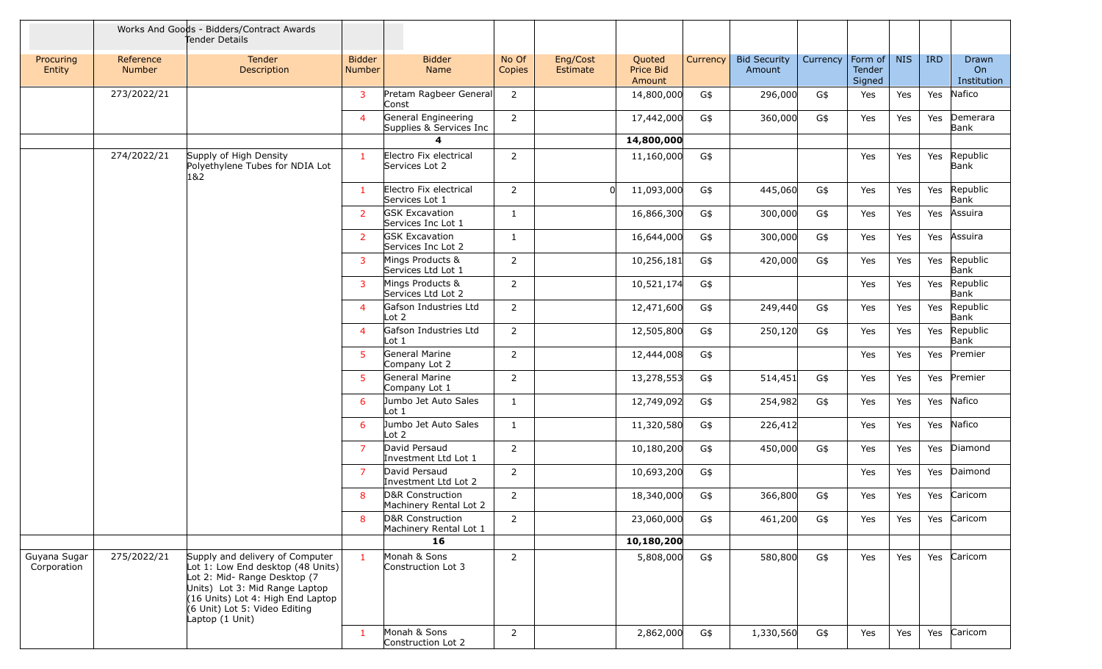|                             |                            | Works And Goods - Bidders/Contract Awards<br>Tender Details                                                                                                                                                                     |                         |                                                |                 |                      |                               |          |                               |          |                             |            |            |                            |
|-----------------------------|----------------------------|---------------------------------------------------------------------------------------------------------------------------------------------------------------------------------------------------------------------------------|-------------------------|------------------------------------------------|-----------------|----------------------|-------------------------------|----------|-------------------------------|----------|-----------------------------|------------|------------|----------------------------|
| Procuring<br>Entity         | Reference<br><b>Number</b> | <b>Tender</b><br>Description                                                                                                                                                                                                    | <b>Bidder</b><br>Number | <b>Bidder</b><br>Name                          | No Of<br>Copies | Eng/Cost<br>Estimate | Quoted<br>Price Bid<br>Amount | Currency | <b>Bid Security</b><br>Amount | Currency | Form of<br>Tender<br>Signed | <b>NIS</b> | <b>IRD</b> | Drawn<br>On<br>Institution |
|                             | 273/2022/21                |                                                                                                                                                                                                                                 | 3                       | Pretam Ragbeer General<br>Const                | 2               |                      | 14,800,000                    | G\$      | 296,000                       | G\$      | Yes                         | Yes        | Yes        | Nafico                     |
|                             |                            |                                                                                                                                                                                                                                 | $\overline{a}$          | General Engineering<br>Supplies & Services Inc | $\overline{2}$  |                      | 17,442,000                    | G\$      | 360,000                       | G\$      | Yes                         | Yes        | Yes        | Demerara<br>Bank           |
|                             |                            |                                                                                                                                                                                                                                 |                         | 4                                              |                 |                      | 14,800,000                    |          |                               |          |                             |            |            |                            |
|                             | 274/2022/21                | Supply of High Density<br>Polyethylene Tubes for NDIA Lot<br>1&2                                                                                                                                                                | -1                      | Electro Fix electrical<br>Services Lot 2       | $\overline{2}$  |                      | 11,160,000                    | G\$      |                               |          | Yes                         | Yes        | Yes        | Republic<br>Bank           |
|                             |                            |                                                                                                                                                                                                                                 |                         | Electro Fix electrical<br>Services Lot 1       | $\overline{2}$  |                      | 11,093,000                    | G\$      | 445,060                       | G\$      | Yes                         | Yes        | Yes        | Republic<br>Bank           |
|                             |                            |                                                                                                                                                                                                                                 | <sup>2</sup>            | <b>GSK Excavation</b><br>Services Inc Lot 1    | $\mathbf{1}$    |                      | 16,866,300                    | G\$      | 300,000                       | G\$      | Yes                         | Yes        | Yes        | Assuira                    |
|                             |                            |                                                                                                                                                                                                                                 | <sup>2</sup>            | <b>GSK Excavation</b><br>Services Inc Lot 2    | $\mathbf{1}$    |                      | 16,644,000                    | G\$      | 300,000                       | G\$      | Yes                         | Yes        | Yes        | Assuira                    |
|                             |                            |                                                                                                                                                                                                                                 | 3                       | Mings Products &<br>Services Ltd Lot 1         | 2               |                      | 10,256,181                    | G\$      | 420,000                       | G\$      | Yes                         | Yes        | Yes        | Republic<br>Bank           |
|                             |                            |                                                                                                                                                                                                                                 | 3                       | Mings Products &<br>Services Ltd Lot 2         | 2               |                      | 10,521,174                    | G\$      |                               |          | Yes                         | Yes        | Yes        | Republic<br>Bank           |
|                             |                            |                                                                                                                                                                                                                                 | $\overline{4}$          | Gafson Industries Ltd<br>Lot $2$               | 2               |                      | 12,471,600                    | G\$      | 249,440                       | G\$      | Yes                         | Yes        | Yes        | Republic<br>Bank           |
|                             |                            |                                                                                                                                                                                                                                 | $\overline{4}$          | Gafson Industries Ltd<br>Lot 1                 | $\overline{2}$  |                      | 12,505,800                    | G\$      | 250,120                       | G\$      | Yes                         | Yes        | Yes        | Republic<br>Bank           |
|                             |                            |                                                                                                                                                                                                                                 | 5                       | General Marine<br>Company Lot 2                | $\overline{2}$  |                      | 12,444,008                    | G\$      |                               |          | Yes                         | Yes        | Yes        | Premier                    |
|                             |                            |                                                                                                                                                                                                                                 | 5                       | General Marine<br>Company Lot 1                | $\overline{2}$  |                      | 13,278,553                    | G\$      | 514,451                       | G\$      | Yes                         | Yes        | Yes        | Premier                    |
|                             |                            |                                                                                                                                                                                                                                 | 6                       | Jumbo Jet Auto Sales<br>Lot 1                  | $\mathbf{1}$    |                      | 12,749,092                    | G\$      | 254,982                       | G\$      | Yes                         | Yes        | Yes        | Nafico                     |
|                             |                            |                                                                                                                                                                                                                                 | 6                       | Jumbo Jet Auto Sales<br>Lot 2                  | $\mathbf{1}$    |                      | 11,320,580                    | G\$      | 226,412                       |          | Yes                         | Yes        | Yes        | Nafico                     |
|                             |                            |                                                                                                                                                                                                                                 | $\overline{7}$          | David Persaud<br>Investment Ltd Lot 1          | $\overline{2}$  |                      | 10,180,200                    | G\$      | 450,000                       | G\$      | Yes                         | Yes        | Yes        | Diamond                    |
|                             |                            |                                                                                                                                                                                                                                 | $\overline{7}$          | David Persaud<br>Investment Ltd Lot 2          | $\overline{2}$  |                      | 10,693,200                    | G\$      |                               |          | Yes                         | Yes        | Yes        | Daimond                    |
|                             |                            |                                                                                                                                                                                                                                 | 8                       | D&R Construction<br>Machinery Rental Lot 2     | $\overline{2}$  |                      | 18,340,000                    | G\$      | 366,800                       | G\$      | Yes                         | <b>Yes</b> | Yes        | Caricom                    |
|                             |                            |                                                                                                                                                                                                                                 | 8                       | D&R Construction<br>Machinery Rental Lot 1     | $\overline{2}$  |                      | 23,060,000                    | G\$      | 461,200                       | G\$      | Yes                         | Yes        | Yes        | Caricom                    |
|                             |                            |                                                                                                                                                                                                                                 |                         | 16                                             |                 |                      | 10,180,200                    |          |                               |          |                             |            |            |                            |
| Guyana Sugar<br>Corporation | 275/2022/21                | Supply and delivery of Computer<br>Lot 1: Low End desktop (48 Units)<br>Lot 2: Mid- Range Desktop (7<br>Units) Lot 3: Mid Range Laptop<br>(16 Units) Lot 4: High End Laptop<br>(6 Unit) Lot 5: Video Editing<br>Laptop (1 Unit) | $\blacksquare$          | Monah & Sons<br>Construction Lot 3             | $\overline{2}$  |                      | 5,808,000                     | G\$      | 580,800                       | G\$      | Yes                         | Yes        | Yes        | Caricom                    |
|                             |                            |                                                                                                                                                                                                                                 | $\mathbf{1}$            | Monah & Sons<br>Construction Lot 2             | $2^{\circ}$     |                      | 2,862,000                     | G\$      | 1,330,560                     | G\$      | Yes                         | Yes        | Yes        | Caricom                    |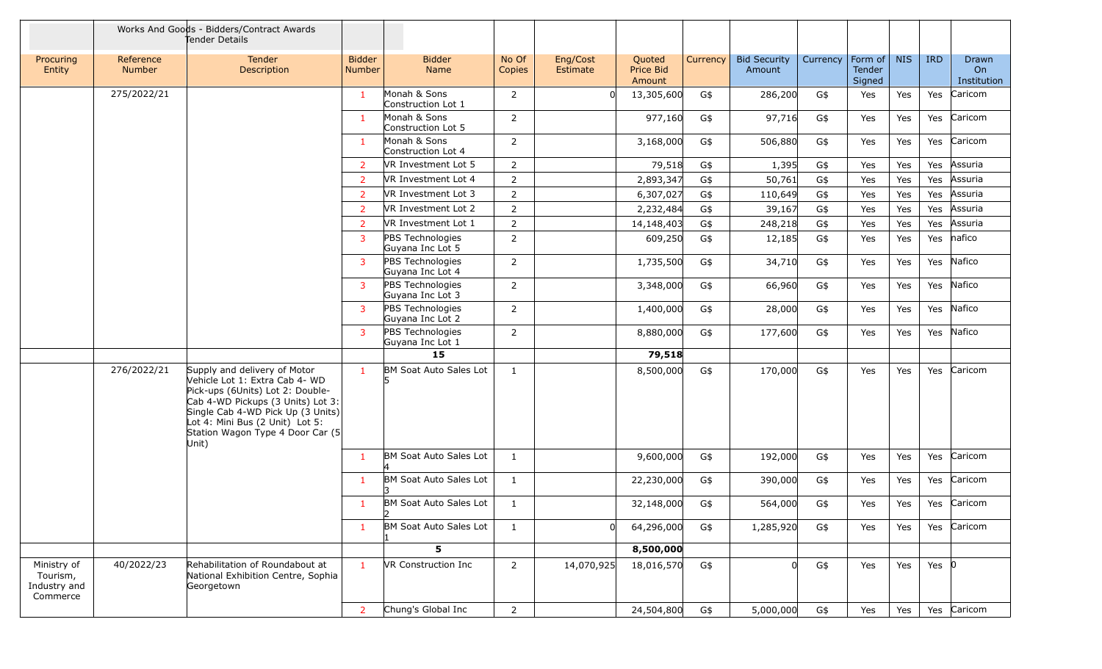|                                                     |                            | Works And Goods - Bidders/Contract Awards<br>Tender Details                                                                                                                                                                                                  |                                |                                            |                 |                             |                                      |                 |                               |          |                             |            |            |                            |
|-----------------------------------------------------|----------------------------|--------------------------------------------------------------------------------------------------------------------------------------------------------------------------------------------------------------------------------------------------------------|--------------------------------|--------------------------------------------|-----------------|-----------------------------|--------------------------------------|-----------------|-------------------------------|----------|-----------------------------|------------|------------|----------------------------|
| Procuring<br>Entity                                 | Reference<br><b>Number</b> | Tender<br>Description                                                                                                                                                                                                                                        | <b>Bidder</b><br><b>Number</b> | <b>Bidder</b><br>Name                      | No Of<br>Copies | Eng/Cost<br><b>Estimate</b> | Quoted<br><b>Price Bid</b><br>Amount | <b>Currency</b> | <b>Bid Security</b><br>Amount | Currency | Form of<br>Tender<br>Signed | <b>NIS</b> | <b>IRD</b> | Drawn<br>On<br>Institution |
|                                                     | 275/2022/21                |                                                                                                                                                                                                                                                              | $\mathbf{1}$                   | Monah & Sons<br>Construction Lot 1         | $\overline{2}$  |                             | 13,305,600                           | G\$             | 286,200                       | G\$      | Yes                         | Yes        | Yes        | Caricom                    |
|                                                     |                            |                                                                                                                                                                                                                                                              |                                | Monah & Sons<br>Construction Lot 5         | 2               |                             | 977,160                              | G\$             | 97,716                        | G\$      | Yes                         | Yes        | Yes        | Caricom                    |
|                                                     |                            |                                                                                                                                                                                                                                                              | $\mathbf{1}$                   | Monah & Sons<br>Construction Lot 4         | 2               |                             | 3,168,000                            | G\$             | 506,880                       | G\$      | Yes                         | Yes        | Yes        | Caricom                    |
|                                                     |                            |                                                                                                                                                                                                                                                              | 2                              | VR Investment Lot 5                        | 2               |                             | 79,518                               | G\$             | 1,395                         | G\$      | Yes                         | Yes        | Yes        | Assuria                    |
|                                                     |                            |                                                                                                                                                                                                                                                              | 2                              | VR Investment Lot 4                        | 2               |                             | 2,893,347                            | G\$             | 50,761                        | G\$      | Yes                         | Yes        | Yes        | Assuria                    |
|                                                     |                            |                                                                                                                                                                                                                                                              | 2                              | VR Investment Lot 3                        | $\overline{2}$  |                             | 6,307,027                            | G\$             | 110,649                       | G\$      | Yes                         | Yes        | Yes        | Assuria                    |
|                                                     |                            |                                                                                                                                                                                                                                                              | 2                              | VR Investment Lot 2                        | $\overline{2}$  |                             | 2,232,484                            | G\$             | 39,167                        | G\$      | Yes                         | Yes        | Yes        | Assuria                    |
|                                                     |                            |                                                                                                                                                                                                                                                              | $\overline{2}$                 | VR Investment Lot 1                        | $\overline{2}$  |                             | 14,148,403                           | G\$             | 248,218                       | G\$      | Yes                         | Yes        | Yes        | Assuria                    |
|                                                     |                            |                                                                                                                                                                                                                                                              | 3                              | PBS Technologies<br>Guyana Inc Lot 5       | $\overline{2}$  |                             | 609,250                              | G\$             | 12,185                        | G\$      | Yes                         | Yes        | Yes        | nafico                     |
|                                                     |                            |                                                                                                                                                                                                                                                              | 3                              | PBS Technologies<br>Guyana Inc Lot 4       | $\overline{2}$  |                             | 1,735,500                            | G\$             | 34,710                        | G\$      | Yes                         | Yes        | Yes        | Nafico                     |
|                                                     |                            |                                                                                                                                                                                                                                                              | $\mathbf{3}$                   | PBS Technologies<br>Guyana Inc Lot 3       | 2               |                             | 3,348,000                            | G\$             | 66,960                        | G\$      | Yes                         | Yes        | Yes        | Nafico                     |
|                                                     |                            |                                                                                                                                                                                                                                                              | 3                              | PBS Technologies<br>Guyana Inc Lot 2       | 2               |                             | 1,400,000                            | G\$             | 28,000                        | G\$      | Yes                         | Yes        | Yes        | Nafico                     |
|                                                     |                            |                                                                                                                                                                                                                                                              | $\overline{3}$                 | PBS Technologies<br>Guyana Inc Lot 1       | $\overline{2}$  |                             | 8,880,000                            | G\$             | 177,600                       | G\$      | Yes                         | Yes        | Yes        | Nafico                     |
|                                                     |                            |                                                                                                                                                                                                                                                              |                                | 15                                         |                 |                             | 79,518                               |                 |                               |          |                             |            |            |                            |
|                                                     | 276/2022/21                | Supply and delivery of Motor<br>Vehicle Lot 1: Extra Cab 4- WD<br>Pick-ups (6Units) Lot 2: Double-<br>Cab 4-WD Pickups (3 Units) Lot 3:<br>Single Cab 4-WD Pick Up (3 Units)<br>Lot 4: Mini Bus (2 Unit) Lot 5:<br>Station Wagon Type 4 Door Car (5<br>Unit) | $\mathbf{1}$                   | BM Soat Auto Sales Lot                     | $\mathbf{1}$    |                             | 8,500,000                            | G\$             | 170,000                       | G\$      | Yes                         | <b>Yes</b> | Yes        | Caricom                    |
|                                                     |                            |                                                                                                                                                                                                                                                              | -1                             | BM Soat Auto Sales Lot                     | $\mathbf{1}$    |                             | 9,600,000                            | G\$             | 192,000                       | G\$      | Yes                         | Yes        | Yes        | Caricom                    |
|                                                     |                            |                                                                                                                                                                                                                                                              | -1                             | BM Soat Auto Sales Lot                     | $\mathbf{1}$    |                             | 22,230,000                           | G\$             | 390,000                       | G\$      | Yes                         | Yes        | Yes        | Caricom                    |
|                                                     |                            |                                                                                                                                                                                                                                                              |                                | <b>BM Soat Auto Sales Lot</b><br>$\vert$ 2 | $\mathbf{1}$    |                             | 32,148,000                           | G\$             | 564,000                       | G\$      | Yes                         | Yes        | Yes        | Caricom                    |
|                                                     |                            |                                                                                                                                                                                                                                                              | 1                              | BM Soat Auto Sales Lot                     | $\mathbf{1}$    |                             | 64,296,000                           | G\$             | 1,285,920                     | G\$      | Yes                         | Yes        | Yes        | Caricom                    |
|                                                     |                            |                                                                                                                                                                                                                                                              |                                | 5                                          |                 |                             | 8,500,000                            |                 |                               |          |                             |            |            |                            |
| Ministry of<br>Tourism,<br>Industry and<br>Commerce | 40/2022/23                 | Rehabilitation of Roundabout at<br>National Exhibition Centre, Sophia<br>Georgetown                                                                                                                                                                          |                                | VR Construction Inc                        | $\overline{2}$  | 14,070,925                  | 18,016,570                           | G\$             |                               | G\$      | Yes                         | Yes        | Yes $ 0 $  |                            |
|                                                     |                            |                                                                                                                                                                                                                                                              | $\overline{2}$                 | Chung's Global Inc                         | $\overline{2}$  |                             | 24,504,800                           | G\$             | 5,000,000                     | G\$      | Yes                         | Yes        | Yes        | Caricom                    |